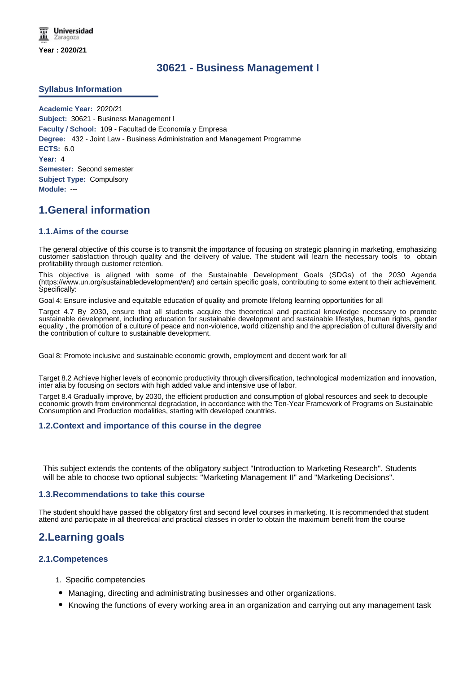# **30621 - Business Management I**

# **Syllabus Information**

**Academic Year:** 2020/21 **Subject:** 30621 - Business Management I **Faculty / School:** 109 - Facultad de Economía y Empresa **Degree:** 432 - Joint Law - Business Administration and Management Programme **ECTS:** 6.0 **Year:** 4 **Semester:** Second semester **Subject Type:** Compulsory **Module:** ---

# **1.General information**

# **1.1.Aims of the course**

The general objective of this course is to transmit the importance of focusing on strategic planning in marketing, emphasizing customer satisfaction through quality and the delivery of value. The student will learn the necessary tools to obtain profitability through customer retention.

This objective is aligned with some of the Sustainable Development Goals (SDGs) of the 2030 Agenda (https://www.un.org/sustainabledevelopment/en/) and certain specific goals, contributing to some extent to their achievement. Specifically:

Goal 4: Ensure inclusive and equitable education of quality and promote lifelong learning opportunities for all

Target 4.7 By 2030, ensure that all students acquire the theoretical and practical knowledge necessary to promote sustainable development, including education for sustainable development and sustainable lifestyles, human rights, gender equality , the promotion of a culture of peace and non-violence, world citizenship and the appreciation of cultural diversity and the contribution of culture to sustainable development.

Goal 8: Promote inclusive and sustainable economic growth, employment and decent work for all

Target 8.2 Achieve higher levels of economic productivity through diversification, technological modernization and innovation, inter alia by focusing on sectors with high added value and intensive use of labor.

Target 8.4 Gradually improve, by 2030, the efficient production and consumption of global resources and seek to decouple economic growth from environmental degradation, in accordance with the Ten-Year Framework of Programs on Sustainable Consumption and Production modalities, starting with developed countries.

## **1.2.Context and importance of this course in the degree**

This subject extends the contents of the obligatory subject "Introduction to Marketing Research". Students will be able to choose two optional subjects: "Marketing Management II" and "Marketing Decisions".

## **1.3.Recommendations to take this course**

The student should have passed the obligatory first and second level courses in marketing. It is recommended that student attend and participate in all theoretical and practical classes in order to obtain the maximum benefit from the course

# **2.Learning goals**

## **2.1.Competences**

- 1. Specific competencies
- Managing, directing and administrating businesses and other organizations.
- Knowing the functions of every working area in an organization and carrying out any management task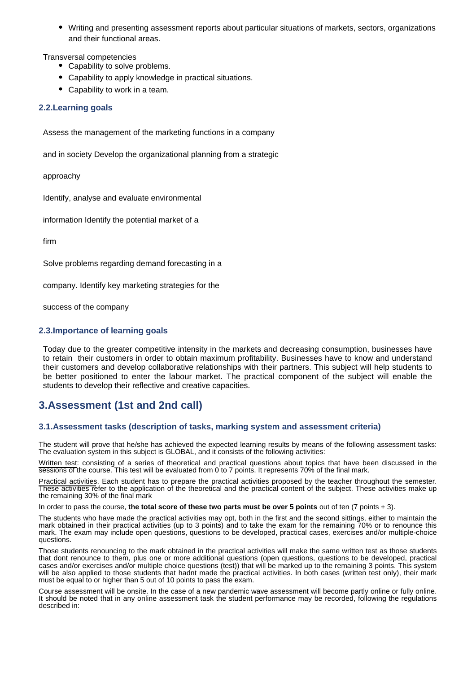Writing and presenting assessment reports about particular situations of markets, sectors, organizations and their functional areas.

Transversal competencies

- Capability to solve problems.
- Capability to apply knowledge in practical situations.
- Capability to work in a team.

# **2.2.Learning goals**

Assess the management of the marketing functions in a company

and in society Develop the organizational planning from a strategic

approachy

Identify, analyse and evaluate environmental

information Identify the potential market of a

firm

Solve problems regarding demand forecasting in a

company. Identify key marketing strategies for the

success of the company

# **2.3.Importance of learning goals**

Today due to the greater competitive intensity in the markets and decreasing consumption, businesses have to retain their customers in order to obtain maximum profitability. Businesses have to know and understand their customers and develop collaborative relationships with their partners. This subject will help students to be better positioned to enter the labour market. The practical component of the subject will enable the students to develop their reflective and creative capacities.

# **3.Assessment (1st and 2nd call)**

## **3.1.Assessment tasks (description of tasks, marking system and assessment criteria)**

The student will prove that he/she has achieved the expected learning results by means of the following assessment tasks: The evaluation system in this subject is GLOBAL, and it consists of the following activities:

Written test: consisting of a series of theoretical and practical questions about topics that have been discussed in the sessions of the course. This test will be evaluated from 0 to 7 points. It represents 70% of the final mark.

Practical activities. Each student has to prepare the practical activities proposed by the teacher throughout the semester. These activities refer to the application of the theoretical and the practical content of the subject. These activities make up the remaining 30% of the final mark

In order to pass the course, **the total score of these two parts must be over 5 points** out of ten (7 points + 3).

The students who have made the practical activities may opt, both in the first and the second sittings, either to maintain the mark obtained in their practical activities (up to 3 points) and to take the exam for the remaining 70% or to renounce this mark. The exam may include open questions, questions to be developed, practical cases, exercises and/or multiple-choice questions.

Those students renouncing to the mark obtained in the practical activities will make the same written test as those students that dont renounce to them, plus one or more additional questions (open questions, questions to be developed, practical cases and/or exercises and/or multiple choice questions (test)) that will be marked up to the remaining 3 points. This system will be also applied to those students that hadnt made the practical activities. In both cases (written test only), their mark must be equal to or higher than 5 out of 10 points to pass the exam.

Course assessment will be onsite. In the case of a new pandemic wave assessment will become partly online or fully online. It should be noted that in any online assessment task the student performance may be recorded, following the regulations described in: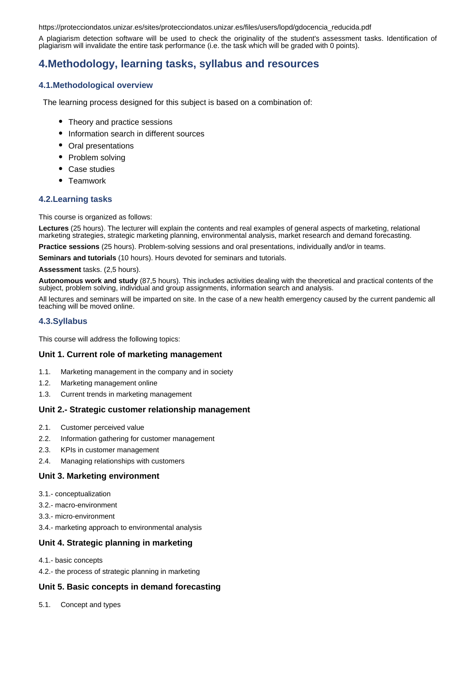https://protecciondatos.unizar.es/sites/protecciondatos.unizar.es/files/users/lopd/gdocencia\_reducida.pdf

A plagiarism detection software will be used to check the originality of the student's assessment tasks. Identification of plagiarism will invalidate the entire task performance (i.e. the task which will be graded with 0 points).

# **4.Methodology, learning tasks, syllabus and resources**

## **4.1.Methodological overview**

The learning process designed for this subject is based on a combination of:

- Theory and practice sessions
- Information search in different sources
- Oral presentations
- Problem solving
- Case studies
- Teamwork

#### **4.2.Learning tasks**

This course is organized as follows:

**Lectures** (25 hours). The lecturer will explain the contents and real examples of general aspects of marketing, relational marketing strategies, strategic marketing planning, environmental analysis, market research and demand forecasting.

**Practice sessions** (25 hours). Problem-solving sessions and oral presentations, individually and/or in teams.

**Seminars and tutorials** (10 hours). Hours devoted for seminars and tutorials.

**Assessment** tasks. (2,5 hours).

**Autonomous work and study** (87,5 hours). This includes activities dealing with the theoretical and practical contents of the subject, problem solving, individual and group assignments, information search and analysis.

All lectures and seminars will be imparted on site. In the case of a new health emergency caused by the current pandemic all teaching will be moved online.

#### **4.3.Syllabus**

This course will address the following topics:

#### **Unit 1. Current role of marketing management**

- 1.1. Marketing management in the company and in society
- 1.2. Marketing management online
- 1.3. Current trends in marketing management

#### **Unit 2.- Strategic customer relationship management**

- 2.1. Customer perceived value
- 2.2. Information gathering for customer management
- 2.3. KPIs in customer management
- 2.4. Managing relationships with customers

## **Unit 3. Marketing environment**

- 3.1.- conceptualization
- 3.2.- macro-environment
- 3.3.- micro-environment
- 3.4.- marketing approach to environmental analysis

## **Unit 4. Strategic planning in marketing**

4.1.- basic concepts

4.2.- the process of strategic planning in marketing

#### **Unit 5. Basic concepts in demand forecasting**

5.1. Concept and types